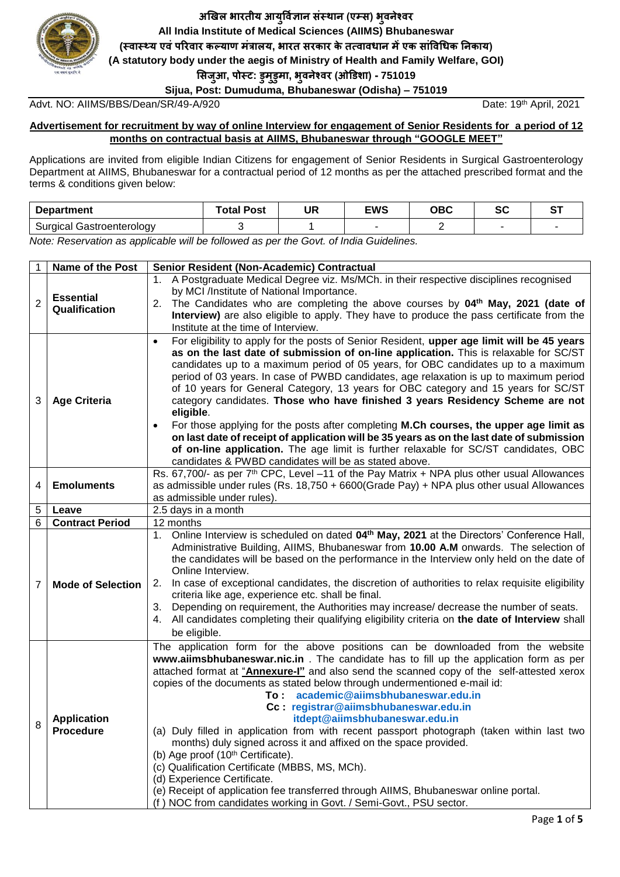

**अखिल भारतीय आयुर्विज्ञान संस्थान (एम्स) भुवनेश्वर All India Institute of Medical Sciences (AIIMS) Bhubaneswar (स्वास््य एवंपररवार कल्याण मंत्रालय, भारत सरकार के तत्वावधान मेंएक सांर्वधधक ननकाय) (A statutory body under the aegis of Ministry of Health and Family Welfare, GOI) ससजुआ, पोस्ट: डुमुडुमा, भुवनेश्वर (ओडडशा) - 751019**

**Sijua, Post: Dumuduma, Bhubaneswar (Odisha) – 751019**

Advt. NO: AIIMS/BBS/Dean/SR/49-A/920

Date: 19th April, 2021

#### **Advertisement for recruitment by way of online Interview for engagement of Senior Residents for a period of 12 months on contractual basis at AIIMS, Bhubaneswar through "GOOGLE MEET"**

Applications are invited from eligible Indian Citizens for engagement of Senior Residents in Surgical Gastroenterology Department at AIIMS, Bhubaneswar for a contractual period of 12 months as per the attached prescribed format and the terms & conditions given below:

| Department                   | <b>Otal Post</b> | ייי<br>JR | <b>EWS</b> | <b>OBC</b> | r -<br>υv | -- |
|------------------------------|------------------|-----------|------------|------------|-----------|----|
| Surgical<br>Gastroenterology |                  |           |            |            |           |    |

*Note: Reservation as applicable will be followed as per the Govt. of India Guidelines.*

|                | <b>Name of the Post</b>                | Senior Resident (Non-Academic) Contractual                                                                                                                                                                                                                                                                                                                                                                                                                                                                                                                                                                                                                                                                                                                                                                                                                                                                                  |
|----------------|----------------------------------------|-----------------------------------------------------------------------------------------------------------------------------------------------------------------------------------------------------------------------------------------------------------------------------------------------------------------------------------------------------------------------------------------------------------------------------------------------------------------------------------------------------------------------------------------------------------------------------------------------------------------------------------------------------------------------------------------------------------------------------------------------------------------------------------------------------------------------------------------------------------------------------------------------------------------------------|
| $\overline{2}$ | <b>Essential</b><br>Qualification      | 1. A Postgraduate Medical Degree viz. Ms/MCh. in their respective disciplines recognised<br>by MCI /Institute of National Importance.<br>2. The Candidates who are completing the above courses by 04 <sup>th</sup> May, 2021 (date of<br>Interview) are also eligible to apply. They have to produce the pass certificate from the<br>Institute at the time of Interview.                                                                                                                                                                                                                                                                                                                                                                                                                                                                                                                                                  |
| 3              | <b>Age Criteria</b>                    | For eligibility to apply for the posts of Senior Resident, upper age limit will be 45 years<br>$\bullet$<br>as on the last date of submission of on-line application. This is relaxable for SC/ST<br>candidates up to a maximum period of 05 years, for OBC candidates up to a maximum<br>period of 03 years. In case of PWBD candidates, age relaxation is up to maximum period<br>of 10 years for General Category, 13 years for OBC category and 15 years for SC/ST<br>category candidates. Those who have finished 3 years Residency Scheme are not<br>eligible.<br>For those applying for the posts after completing M.Ch courses, the upper age limit as<br>on last date of receipt of application will be 35 years as on the last date of submission<br>of on-line application. The age limit is further relaxable for SC/ST candidates, OBC<br>candidates & PWBD candidates will be as stated above.                |
| 4              | <b>Emoluments</b>                      | Rs. 67,700/- as per 7 <sup>th</sup> CPC, Level -11 of the Pay Matrix + NPA plus other usual Allowances<br>as admissible under rules (Rs. $18,750 + 6600$ Grade Pay) + NPA plus other usual Allowances<br>as admissible under rules).                                                                                                                                                                                                                                                                                                                                                                                                                                                                                                                                                                                                                                                                                        |
| 5              | Leave                                  | 2.5 days in a month                                                                                                                                                                                                                                                                                                                                                                                                                                                                                                                                                                                                                                                                                                                                                                                                                                                                                                         |
| 6              | <b>Contract Period</b>                 | 12 months                                                                                                                                                                                                                                                                                                                                                                                                                                                                                                                                                                                                                                                                                                                                                                                                                                                                                                                   |
| 7              | <b>Mode of Selection</b>               | 1. Online Interview is scheduled on dated 04 <sup>th</sup> May, 2021 at the Directors' Conference Hall,<br>Administrative Building, AIIMS, Bhubaneswar from 10.00 A.M onwards. The selection of<br>the candidates will be based on the performance in the Interview only held on the date of<br>Online Interview.<br>In case of exceptional candidates, the discretion of authorities to relax requisite eligibility<br>2.<br>criteria like age, experience etc. shall be final.<br>3. Depending on requirement, the Authorities may increase/ decrease the number of seats.<br>All candidates completing their qualifying eligibility criteria on the date of Interview shall<br>4.<br>be eligible.                                                                                                                                                                                                                        |
| 8              | <b>Application</b><br><b>Procedure</b> | The application form for the above positions can be downloaded from the website<br>www.aiimsbhubaneswar.nic.in. The candidate has to fill up the application form as per<br>attached format at "Annexure-I" and also send the scanned copy of the self-attested xerox<br>copies of the documents as stated below through undermentioned e-mail id:<br>To: academic@aiimsbhubaneswar.edu.in<br>Cc: registrar@aiimsbhubaneswar.edu.in<br>itdept@aiimsbhubaneswar.edu.in<br>(a) Duly filled in application from with recent passport photograph (taken within last two<br>months) duly signed across it and affixed on the space provided.<br>(b) Age proof (10th Certificate).<br>(c) Qualification Certificate (MBBS, MS, MCh).<br>(d) Experience Certificate.<br>(e) Receipt of application fee transferred through AIIMS, Bhubaneswar online portal.<br>(f) NOC from candidates working in Govt. / Semi-Govt., PSU sector. |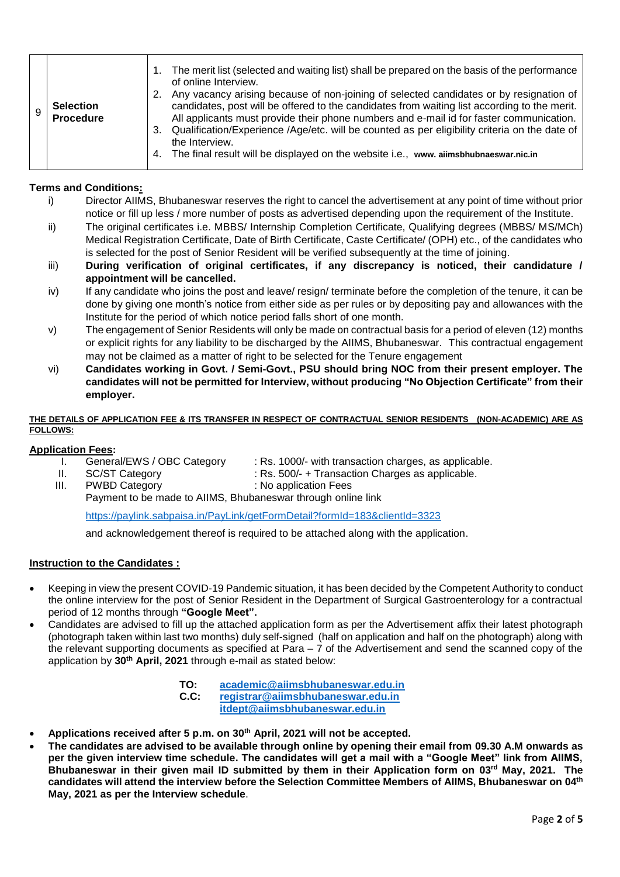## **Terms and Conditions:**

- i) Director AIIMS, Bhubaneswar reserves the right to cancel the advertisement at any point of time without prior notice or fill up less / more number of posts as advertised depending upon the requirement of the Institute.
- ii) The original certificates i.e. MBBS/ Internship Completion Certificate, Qualifying degrees (MBBS/ MS/MCh) Medical Registration Certificate, Date of Birth Certificate, Caste Certificate/ (OPH) etc., of the candidates who is selected for the post of Senior Resident will be verified subsequently at the time of joining.
- iii) **During verification of original certificates, if any discrepancy is noticed, their candidature / appointment will be cancelled.**
- iv) If any candidate who joins the post and leave/ resign/ terminate before the completion of the tenure, it can be done by giving one month's notice from either side as per rules or by depositing pay and allowances with the Institute for the period of which notice period falls short of one month.
- v) The engagement of Senior Residents will only be made on contractual basis for a period of eleven (12) months or explicit rights for any liability to be discharged by the AIIMS, Bhubaneswar. This contractual engagement may not be claimed as a matter of right to be selected for the Tenure engagement
- vi) **Candidates working in Govt. / Semi-Govt., PSU should bring NOC from their present employer. The candidates will not be permitted for Interview, without producing "No Objection Certificate" from their employer.**

#### **THE DETAILS OF APPLICATION FEE & ITS TRANSFER IN RESPECT OF CONTRACTUAL SENIOR RESIDENTS (NON-ACADEMIC) ARE AS FOLLOWS:**

### **Application Fees:**

I. General/EWS / OBC Category : Rs. 1000/- with transaction charges, as applicable.

- 
- II. SC/ST Category : Rs. 500/- + Transaction Charges as applicable.
- III. PWBD Category **: No application Fees**
- 

Payment to be made to AIIMS, Bhubaneswar through online link

<https://paylink.sabpaisa.in/PayLink/getFormDetail?formId=183&clientId=3323>

and acknowledgement thereof is required to be attached along with the application.

### **Instruction to the Candidates :**

- Keeping in view the present COVID-19 Pandemic situation, it has been decided by the Competent Authority to conduct the online interview for the post of Senior Resident in the Department of Surgical Gastroenterology for a contractual period of 12 months through **"Google Meet".**
- Candidates are advised to fill up the attached application form as per the Advertisement affix their latest photograph (photograph taken within last two months) duly self-signed (half on application and half on the photograph) along with the relevant supporting documents as specified at Para – 7 of the Advertisement and send the scanned copy of the application by **30th April, 2021** through e-mail as stated below:

**TO: [academic@aiimsbhubaneswar.edu.in](mailto:academic@aiimsbhubaneswar.edu.in) C.C: [registrar@aiimsbhubaneswar.edu.in](mailto:registrar@aiimsbhubaneswar.edu.in) [itdept@aiimsbhubaneswar.edu.in](mailto:itdept@aiimsbhubaneswar.edu.in)**

- **Applications received after 5 p.m. on 30th April, 2021 will not be accepted.**
- **The candidates are advised to be available through online by opening their email from 09.30 A.M onwards as per the given interview time schedule. The candidates will get a mail with a "Google Meet" link from AIIMS, Bhubaneswar in their given mail ID submitted by them in their Application form on 03rd May, 2021. The candidates will attend the interview before the Selection Committee Members of AIIMS, Bhubaneswar on 04th May, 2021 as per the Interview schedule**.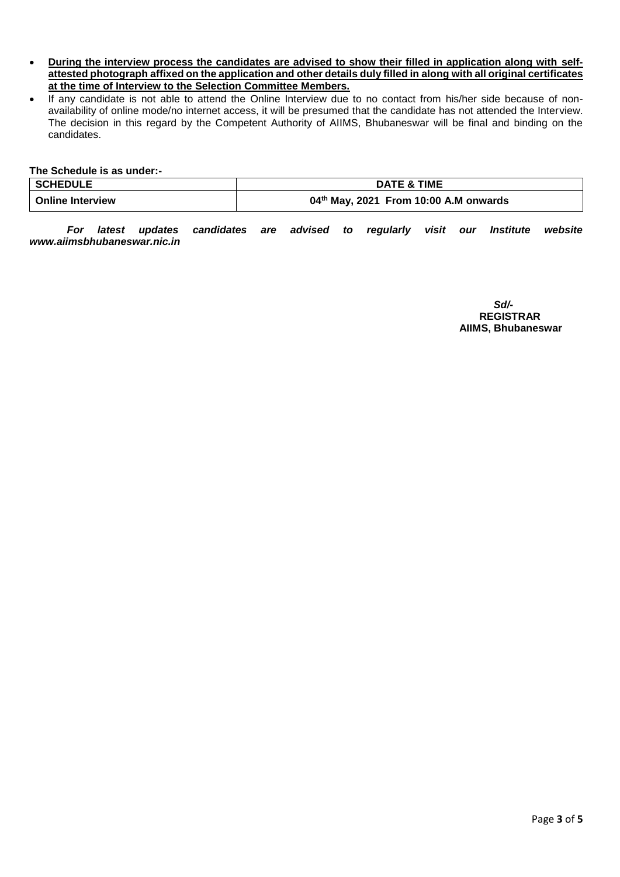- **During the interview process the candidates are advised to show their filled in application along with selfattested photograph affixed on the application and other details duly filled in along with all original certificates at the time of Interview to the Selection Committee Members.**
- If any candidate is not able to attend the Online Interview due to no contact from his/her side because of nonavailability of online mode/no internet access, it will be presumed that the candidate has not attended the Interview. The decision in this regard by the Competent Authority of AIIMS, Bhubaneswar will be final and binding on the candidates.

**The Schedule is as under:-**

| <b>SCHEDULE</b>         | <b>DATE &amp; TIME</b>                  |
|-------------------------|-----------------------------------------|
| <b>Online Interview</b> | $04th$ May, 2021 From 10:00 A.M onwards |

*For latest updates candidates are advised to regularly visit our Institute website www.aiimsbhubaneswar.nic.in*

> *Sd/-* **REGISTRAR AIIMS, Bhubaneswar**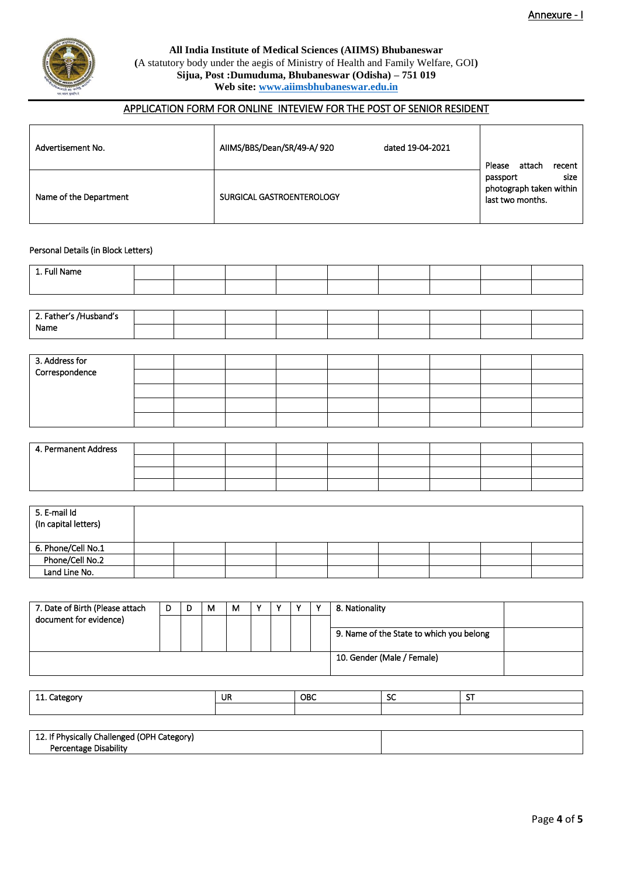

**All India Institute of Medical Sciences (AIIMS) Bhubaneswar (**A statutory body under the aegis of Ministry of Health and Family Welfare, GOI**) Sijua, Post :Dumuduma, Bhubaneswar (Odisha) – 751 019 Web site[: www.aiimsbhubaneswar.edu.in](http://www.aiimsbhubaneswar.edu.in/)**

# APPLICATION FORM FOR ONLINE INTEVIEW FOR THE POST OF SENIOR RESIDENT

| Advertisement No.      | AIIMS/BBS/Dean/SR/49-A/920 | dated 19-04-2021 | Please<br>attach<br>recent                                      |
|------------------------|----------------------------|------------------|-----------------------------------------------------------------|
| Name of the Department | SURGICAL GASTROENTEROLOGY  |                  | size<br>passport<br>photograph taken within<br>last two months. |

#### Personal Details (in Block Letters)

| 1. Full Name                                                                                                    |  |  |  |  |  |
|-----------------------------------------------------------------------------------------------------------------|--|--|--|--|--|
|                                                                                                                 |  |  |  |  |  |
|                                                                                                                 |  |  |  |  |  |
| 2. Father's /Husband's<br>Name                                                                                  |  |  |  |  |  |
|                                                                                                                 |  |  |  |  |  |
|                                                                                                                 |  |  |  |  |  |
| the contract of the contract of the contract of the contract of the contract of the contract of the contract of |  |  |  |  |  |

| 3. Address for |  |  |  |  |  |
|----------------|--|--|--|--|--|
| Correspondence |  |  |  |  |  |
|                |  |  |  |  |  |
|                |  |  |  |  |  |
|                |  |  |  |  |  |

| 4. Permanent Address |  |  |  |  |  |
|----------------------|--|--|--|--|--|
|                      |  |  |  |  |  |
|                      |  |  |  |  |  |
|                      |  |  |  |  |  |

| 5. E-mail Id<br>(In capital letters) |  |  |  |  |  |
|--------------------------------------|--|--|--|--|--|
| 6. Phone/Cell No.1                   |  |  |  |  |  |
| Phone/Cell No.2                      |  |  |  |  |  |
| Land Line No.                        |  |  |  |  |  |

| 7. Date of Birth (Please attach | D | м | м |  |  | 8. Nationality                           |  |
|---------------------------------|---|---|---|--|--|------------------------------------------|--|
| document for evidence)          |   |   |   |  |  |                                          |  |
|                                 |   |   |   |  |  | 9. Name of the State to which you belong |  |
|                                 |   |   |   |  |  | 10. Gender (Male / Female)               |  |

| -44<br>Iategorv<br>- 11 | UR | <b>OBC</b> | --<br>- JU | $\sim$ |
|-------------------------|----|------------|------------|--------|
|                         |    |            |            |        |

| 12. If Physically Challenged (OPH Category) |  |
|---------------------------------------------|--|
| <b>Disability</b><br>Percentage             |  |